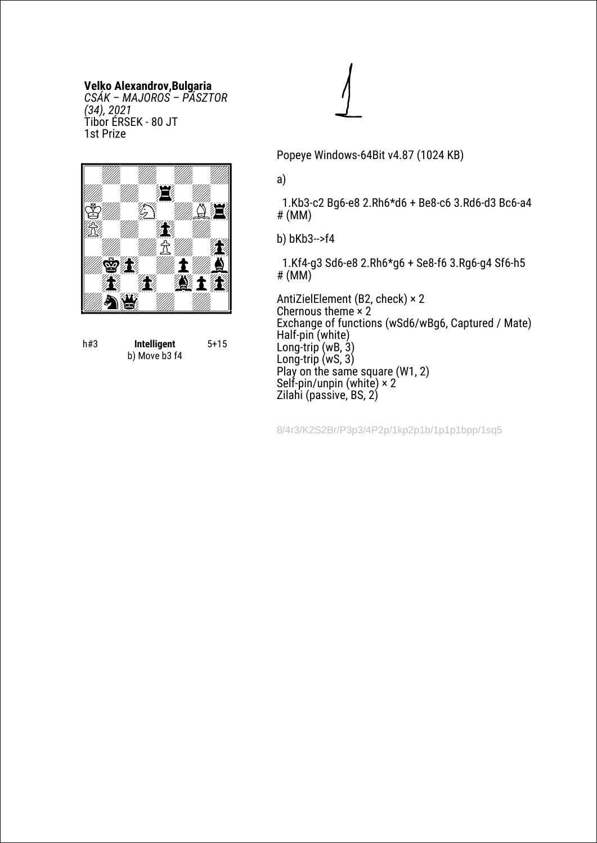## **Velko Alexandrov,Bulgaria**

*CSÁK – MAJOROS – PÁSZTOR (34), 2021* Tibor ÉRSEK - 80 JT 1st Prize



h#3 **Intelligent** b) Move b3 f4 5+15

Popeye Windows-64Bit v4.87 (1024 KB)

## a)

 1.Kb3-c2 Bg6-e8 2.Rh6\*d6 + Be8-c6 3.Rd6-d3 Bc6-a4 # (MM)

b) bKb3-->f4

 1.Kf4-g3 Sd6-e8 2.Rh6\*g6 + Se8-f6 3.Rg6-g4 Sf6-h5 # (MM)

AntiZielElement (B2, check) × 2 Chernous theme  $\times 2$ Exchange of functions (wSd6/wBg6, Captured / Mate) Half-pin (white) Long-trip (wB, 3) Long-trip (wS, 3) Play on the same square (W1, 2) Self-pin/unpin (white)  $\times 2$ Zilahi (passive, BS, 2)

8/4r3/K2S2Br/P3p3/4P2p/1kp2p1b/1p1p1bpp/1sq5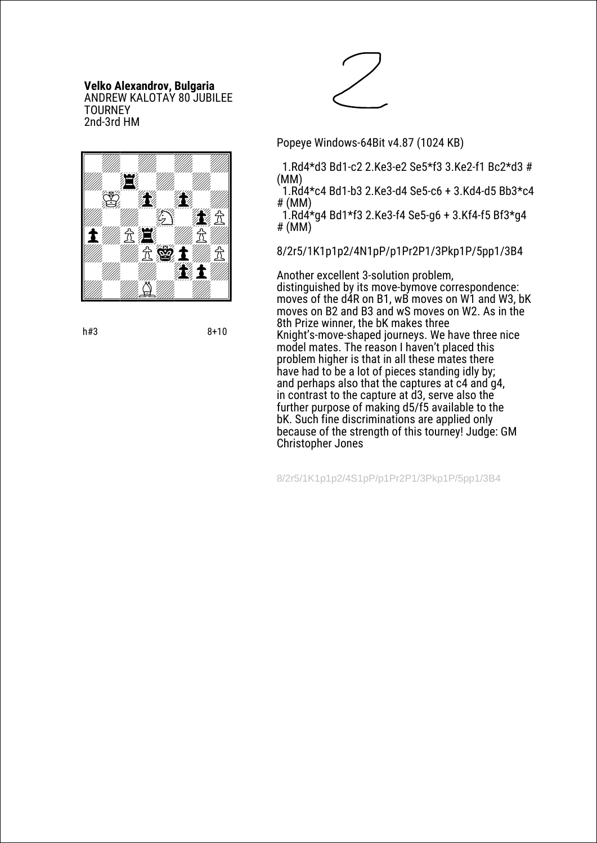#### **Velko Alexandrov, Bulgaria** ANDREW KALOTAY 80 JUBILEE **TOURNEY** 2nd-3rd HM



h#3 8+10



Popeye Windows-64Bit v4.87 (1024 KB)

 1.Rd4\*d3 Bd1-c2 2.Ke3-e2 Se5\*f3 3.Ke2-f1 Bc2\*d3 # (MM)

 1.Rd4\*c4 Bd1-b3 2.Ke3-d4 Se5-c6 + 3.Kd4-d5 Bb3\*c4 # (MM)

1.Rd $4*$ g4 Bd1\*f3 2.Ke3-f4 Se5-g6 + 3.Kf4-f5 Bf3 $*$ g4 # (MM)

8/2r5/1K1p1p2/4N1pP/p1Pr2P1/3Pkp1P/5pp1/3B4

Another excellent 3-solution problem, distinguished by its move-bymove correspondence: moves of the d4R on B1, wB moves on W1 and W3, bK moves on B2 and B3 and wS moves on W2. As in the 8th Prize winner, the bK makes three Knight's-move-shaped journeys. We have three nice model mates. The reason I haven't placed this problem higher is that in all these mates there have had to be a lot of pieces standing idly by; and perhaps also that the captures at c4 and g4, in contrast to the capture at d3, serve also the further purpose of making d5/f5 available to the bK. Such fine discriminations are applied only because of the strength of this tourney! Judge: GM Christopher Jones

8/2r5/1K1p1p2/4S1pP/p1Pr2P1/3Pkp1P/5pp1/3B4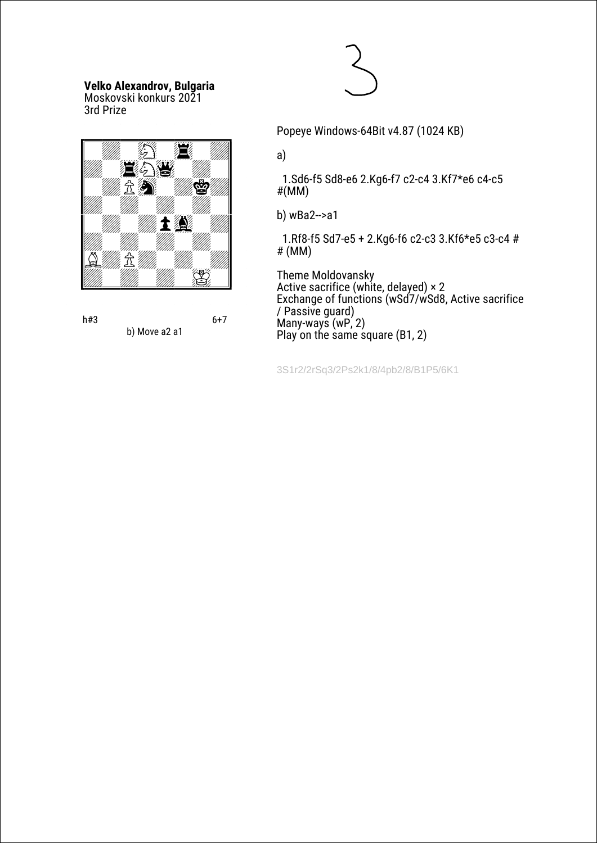## **Velko Alexandrov, Bulgaria**

Moskovski konkurs 2021 3rd Prize







Popeye Windows-64Bit v4.87 (1024 KB)

a)

 1.Sd6-f5 Sd8-e6 2.Kg6-f7 c2-c4 3.Kf7\*e6 c4-c5 #(MM)

b) wBa2-->a1

 1.Rf8-f5 Sd7-e5 + 2.Kg6-f6 c2-c3 3.Kf6\*e5 c3-c4 # # (MM)

Тhеme Moldovansky Active sacrifice (white, delayed) × 2 Exchange of functions (wSd7/wSd8, Active sacrifice / Passive guard) Many-ways (wP, 2) Play on the same square  $(B1, 2)$ 

3S1r2/2rSq3/2Ps2k1/8/4pb2/8/B1P5/6K1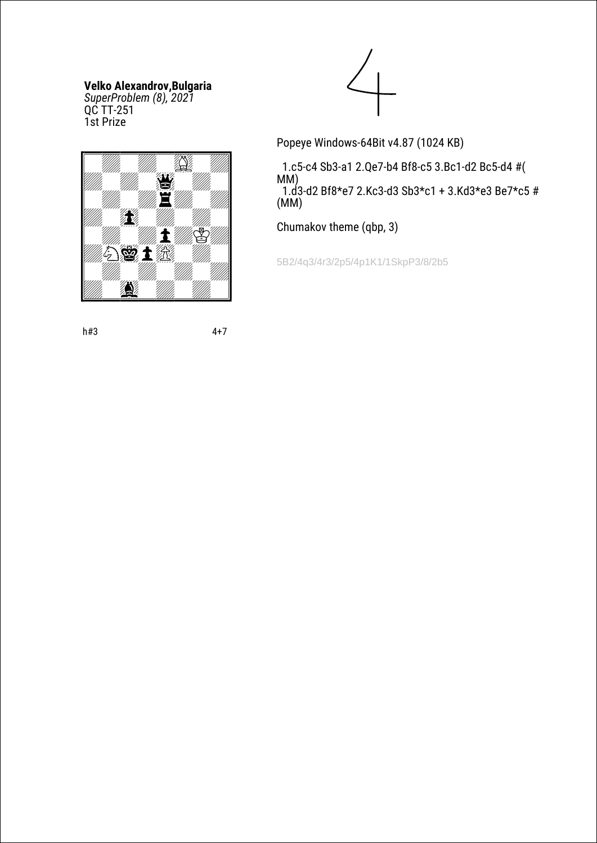## **Velko Alexandrov,Bulgaria**

*SuperProblem (8), 2021* QC TT-251 1st Prize



Popeye Windows-64Bit v4.87 (1024 KB)

 1.c5-c4 Sb3-a1 2.Qe7-b4 Bf8-c5 3.Bc1-d2 Bc5-d4 #( MM) 1.d3-d2 Bf8\*e7 2.Kc3-d3 Sb3\*c1 + 3.Kd3\*e3 Be7\*c5 # (MM)

Chumakov theme (qbp, 3)

5B2/4q3/4r3/2p5/4p1K1/1SkpP3/8/2b5

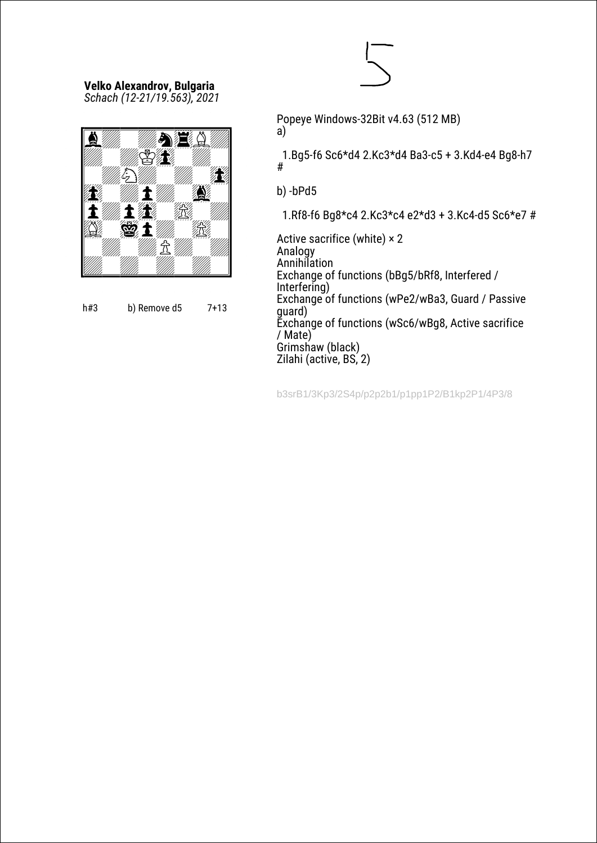#### **Velko Alexandrov, Bulgaria** *Schach (12-21/19.563), 2021*





Popeye Windows-32Bit v4.63 (512 MB)

a)

 1.Bg5-f6 Sc6\*d4 2.Kc3\*d4 Ba3-c5 + 3.Kd4-e4 Bg8-h7 #

b) -bPd5

1.Rf8-f6 Bg8\*c4 2.Kc3\*c4 e2\*d3 + 3.Kc4-d5 Sc6\*e7 #

Active sacrifice (white) × 2 Analogy **Annihilation** Exchange of functions (bBg5/bRf8, Interfered / Interfering) Exchange of functions (wPe2/wBa3, Guard / Passive guard) Exchange of functions (wSc6/wBg8, Active sacrifice / Mate) Grimshaw (black) Zilahi (active, BS, 2)

b3srB1/3Kp3/2S4p/p2p2b1/p1pp1P2/B1kp2P1/4P3/8